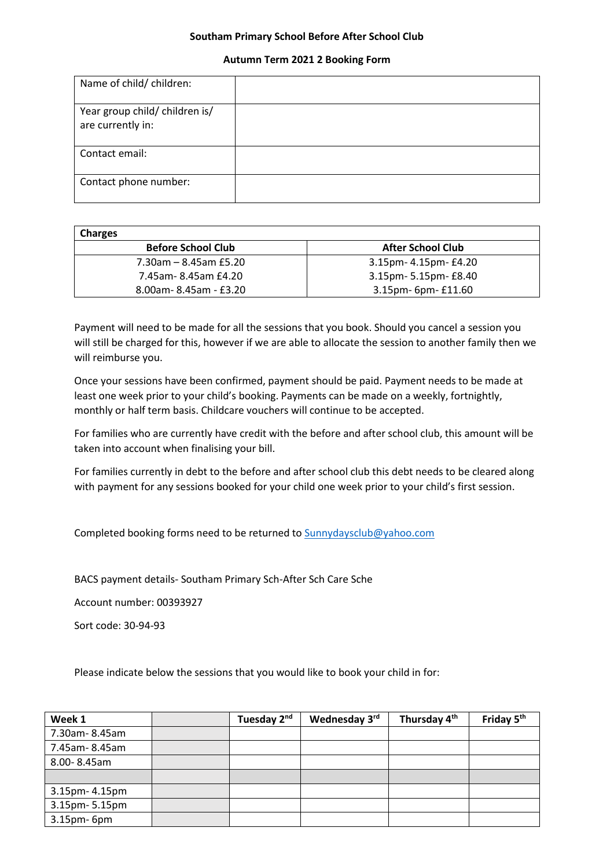## **Southam Primary School Before After School Club**

## **Autumn Term 2021 2 Booking Form**

| Name of child/ children:                            |  |
|-----------------------------------------------------|--|
| Year group child/ children is/<br>are currently in: |  |
| Contact email:                                      |  |
| Contact phone number:                               |  |

| <b>Charges</b>            |                          |
|---------------------------|--------------------------|
| <b>Before School Club</b> | <b>After School Club</b> |
| $7.30$ am – 8.45am £5.20  | 3.15pm- 4.15pm- £4.20    |
| 7.45am-8.45am £4.20       | 3.15pm- 5.15pm- £8.40    |
| 8.00am-8.45am - £3.20     | 3.15pm- 6pm- £11.60      |

Payment will need to be made for all the sessions that you book. Should you cancel a session you will still be charged for this, however if we are able to allocate the session to another family then we will reimburse you.

Once your sessions have been confirmed, payment should be paid. Payment needs to be made at least one week prior to your child's booking. Payments can be made on a weekly, fortnightly, monthly or half term basis. Childcare vouchers will continue to be accepted.

For families who are currently have credit with the before and after school club, this amount will be taken into account when finalising your bill.

For families currently in debt to the before and after school club this debt needs to be cleared along with payment for any sessions booked for your child one week prior to your child's first session.

Completed booking forms need to be returned to [Sunnydaysclub@yahoo.com](mailto:Sunnydaysclub@yahoo.com)

BACS payment details- Southam Primary Sch-After Sch Care Sche

Account number: 00393927

Sort code: 30-94-93

Please indicate below the sessions that you would like to book your child in for:

| Week 1         | Tuesday 2 <sup>nd</sup> | Wednesday 3rd | Thursday 4 <sup>th</sup> | Friday 5 <sup>th</sup> |
|----------------|-------------------------|---------------|--------------------------|------------------------|
| 7.30am-8.45am  |                         |               |                          |                        |
| 7.45am-8.45am  |                         |               |                          |                        |
| 8.00-8.45am    |                         |               |                          |                        |
|                |                         |               |                          |                        |
| 3.15pm- 4.15pm |                         |               |                          |                        |
| 3.15pm-5.15pm  |                         |               |                          |                        |
| 3.15pm-6pm     |                         |               |                          |                        |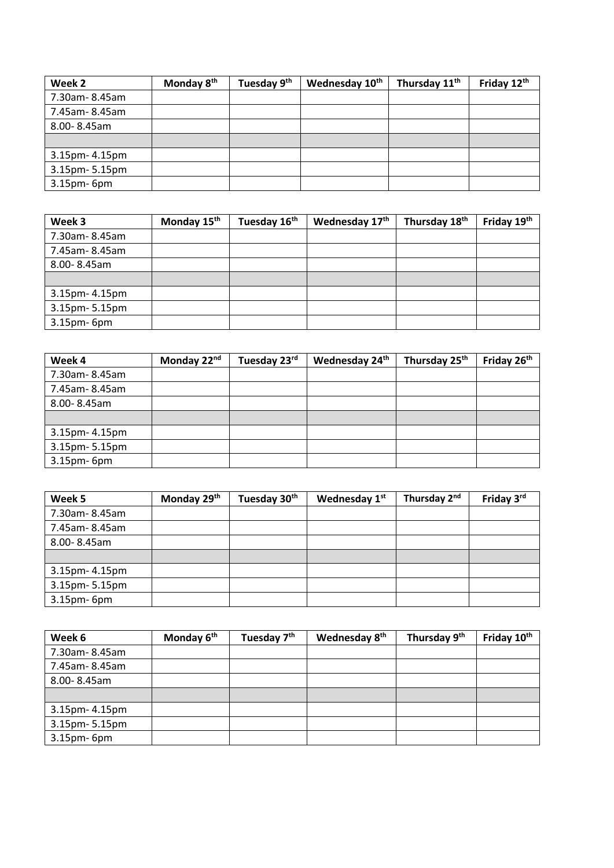| Week 2            | Monday 8 <sup>th</sup> | Tuesday 9 <sup>th</sup> | Wednesday 10 <sup>th</sup> | Thursday 11 <sup>th</sup> | Friday 12th |
|-------------------|------------------------|-------------------------|----------------------------|---------------------------|-------------|
| 7.30am-8.45am     |                        |                         |                            |                           |             |
| 7.45am-8.45am     |                        |                         |                            |                           |             |
| 8.00-8.45am       |                        |                         |                            |                           |             |
|                   |                        |                         |                            |                           |             |
| 3.15pm- 4.15pm    |                        |                         |                            |                           |             |
| 3.15pm-5.15pm     |                        |                         |                            |                           |             |
| $3.15$ pm- $6$ pm |                        |                         |                            |                           |             |

| Week 3         | Monday 15 <sup>th</sup> | Tuesday 16th | Wednesday 17th | Thursday 18th | Friday 19th |
|----------------|-------------------------|--------------|----------------|---------------|-------------|
| 7.30am-8.45am  |                         |              |                |               |             |
| 7.45am-8.45am  |                         |              |                |               |             |
| 8.00-8.45am    |                         |              |                |               |             |
|                |                         |              |                |               |             |
| 3.15pm- 4.15pm |                         |              |                |               |             |
| 3.15pm-5.15pm  |                         |              |                |               |             |
| 3.15pm-6pm     |                         |              |                |               |             |

| Week 4            | Monday 22 <sup>nd</sup> | Tuesday 23rd | Wednesday 24th | Thursday 25 <sup>th</sup> | Friday 26 <sup>th</sup> |
|-------------------|-------------------------|--------------|----------------|---------------------------|-------------------------|
| 7.30am-8.45am     |                         |              |                |                           |                         |
| 7.45am-8.45am     |                         |              |                |                           |                         |
| 8.00-8.45am       |                         |              |                |                           |                         |
|                   |                         |              |                |                           |                         |
| 3.15pm- 4.15pm    |                         |              |                |                           |                         |
| 3.15pm-5.15pm     |                         |              |                |                           |                         |
| $3.15$ pm- $6$ pm |                         |              |                |                           |                         |

| Week 5         | Monday 29 <sup>th</sup> | Tuesday 30 <sup>th</sup> | Wednesday 1 <sup>st</sup> | Thursday 2 <sup>nd</sup> | Friday 3 <sup>rd</sup> |
|----------------|-------------------------|--------------------------|---------------------------|--------------------------|------------------------|
| 7.30am-8.45am  |                         |                          |                           |                          |                        |
| 7.45am-8.45am  |                         |                          |                           |                          |                        |
| 8.00-8.45am    |                         |                          |                           |                          |                        |
|                |                         |                          |                           |                          |                        |
| 3.15pm- 4.15pm |                         |                          |                           |                          |                        |
| 3.15pm-5.15pm  |                         |                          |                           |                          |                        |
| 3.15pm-6pm     |                         |                          |                           |                          |                        |

| Week 6            | Monday 6 <sup>th</sup> | Tuesday 7 <sup>th</sup> | Wednesday 8 <sup>th</sup> | Thursday 9th | Friday 10th |
|-------------------|------------------------|-------------------------|---------------------------|--------------|-------------|
| 7.30am-8.45am     |                        |                         |                           |              |             |
| 7.45am-8.45am     |                        |                         |                           |              |             |
| 8.00-8.45am       |                        |                         |                           |              |             |
|                   |                        |                         |                           |              |             |
| 3.15pm- 4.15pm    |                        |                         |                           |              |             |
| 3.15pm-5.15pm     |                        |                         |                           |              |             |
| $3.15$ pm- $6$ pm |                        |                         |                           |              |             |